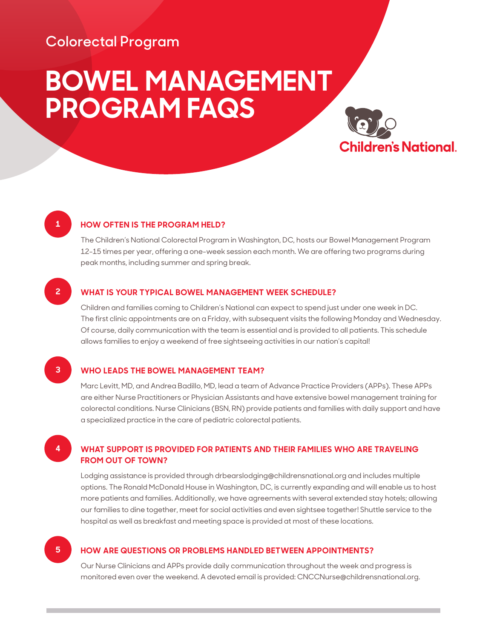## **Colorectal Program**

# **BOWEL MANAGEMENT PROGRAM FAQS**



### **1 HOW OFTEN IS THE PROGRAM HELD?**

 The Children's National Colorectal Program in Washington, DC, hosts our Bowel Management Program 12-15 times per year, offering a one-week session each month. We are offering two programs during peak months, including summer and spring break.

#### **2 WHAT IS YOUR TYPICAL BOWEL MANAGEMENT WEEK SCHEDULE?**

 Children and families coming to Children's National can expect to spend just under one week in DC. The first clinic appointments are on a Friday, with subsequent visits the following Monday and Wednesday. Of course, daily communication with the team is essential and is provided to all patients. This schedule allows families to enjoy a weekend of free sightseeing activities in our nation's capital!

### **3 WHO LEADS THE BOWEL MANAGEMENT TEAM?**

 Marc Levitt, MD, and Andrea Badillo, MD, lead a team of Advance Practice Providers (APPs). These APPs are either Nurse Practitioners or Physician Assistants and have extensive bowel management training for colorectal conditions. Nurse Clinicians (BSN, RN) provide patients and families with daily support and have a specialized practice in the care of pediatric colorectal patients.

### **4 WHAT SUPPORT IS PROVIDED FOR PATIENTS AND THEIR FAMILIES WHO ARE TRAVELING FROM OUT OF TOWN?**

 Lodging assistance is provided through drbearslodging@childrensnational.org and includes multiple options. The Ronald McDonald House in Washington, DC, is currently expanding and will enable us to host more patients and families. Additionally, we have agreements with several extended stay hotels; allowing our families to dine together, meet for social activities and even sightsee together! Shuttle service to the hospital as well as breakfast and meeting space is provided at most of these locations.

### **5 HOW ARE QUESTIONS OR PROBLEMS HANDLED BETWEEN APPOINTMENTS?**

 Our Nurse Clinicians and APPs provide daily communication throughout the week and progress is monitored even over the weekend. A devoted email is provided: CNCCNurse@childrensnational.org.